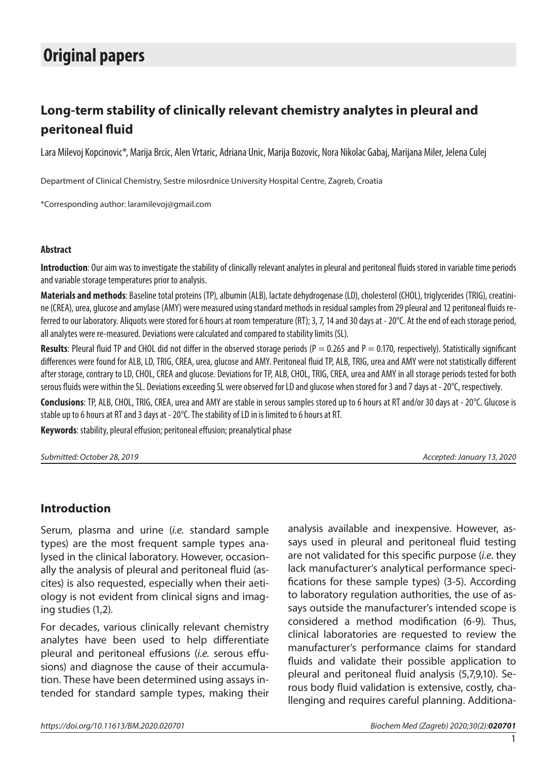# **Original papers**

## **Long-term stability of clinically relevant chemistry analytes in pleural and peritoneal fluid**

Lara Milevoj Kopcinovic\*, Marija Brcic, Alen Vrtaric, Adriana Unic, Marija Bozovic, Nora Nikolac Gabaj, Marijana Miler, Jelena Culej

Department of Clinical Chemistry, Sestre milosrdnice University Hospital Centre, Zagreb, Croatia

\*Corresponding author: laramilevoj@gmail.com

#### **Abstract**

**Introduction**: Our aim was to investigate the stability of clinically relevant analytes in pleural and peritoneal fluids stored in variable time periods and variable storage temperatures prior to analysis.

**Materials and methods**: Baseline total proteins (TP), albumin (ALB), lactate dehydrogenase (LD), cholesterol (CHOL), triglycerides (TRIG), creatinine (CREA), urea, glucose and amylase (AMY) were measured using standard methods in residual samples from 29 pleural and 12 peritoneal fluids referred to our laboratory. Aliquots were stored for 6 hours at room temperature (RT); 3, 7, 14 and 30 days at - 20°C. At the end of each storage period, all analytes were re-measured. Deviations were calculated and compared to stability limits (SL).

**Results**: Pleural fluid TP and CHOL did not differ in the observed storage periods ( $P = 0.265$  and  $P = 0.170$ , respectively). Statistically significant differences were found for ALB, LD, TRIG, CREA, urea, glucose and AMY. Peritoneal fluid TP, ALB, TRIG, urea and AMY were not statistically different after storage, contrary to LD, CHOL, CREA and glucose. Deviations for TP, ALB, CHOL, TRIG, CREA, urea and AMY in all storage periods tested for both serous fluids were within the SL. Deviations exceeding SL were observed for LD and glucose when stored for 3 and 7 days at - 20°C, respectively.

**Conclusions**: TP, ALB, CHOL, TRIG, CREA, urea and AMY are stable in serous samples stored up to 6 hours at RT and/or 30 days at - 20°C. Glucose is stable up to 6 hours at RT and 3 days at - 20°C. The stability of LD in is limited to 6 hours at RT.

**Keywords**: stability, pleural effusion; peritoneal effusion; preanalytical phase

*Submitted: October 28, 2019 Accepted: January 13, 2020*

#### **Introduction**

Serum, plasma and urine (*i.e.* standard sample types) are the most frequent sample types analysed in the clinical laboratory. However, occasionally the analysis of pleural and peritoneal fluid (ascites) is also requested, especially when their aetiology is not evident from clinical signs and imaging studies (1,2).

For decades, various clinically relevant chemistry analytes have been used to help differentiate pleural and peritoneal effusions (*i.e.* serous effusions) and diagnose the cause of their accumulation. These have been determined using assays intended for standard sample types, making their analysis available and inexpensive. However, assays used in pleural and peritoneal fluid testing are not validated for this specific purpose (*i.e*. they lack manufacturer's analytical performance specifications for these sample types) (3-5). According to laboratory regulation authorities, the use of assays outside the manufacturer's intended scope is considered a method modification (6-9). Thus, clinical laboratories are requested to review the manufacturer's performance claims for standard fluids and validate their possible application to pleural and peritoneal fluid analysis (5,7,9,10). Serous body fluid validation is extensive, costly, challenging and requires careful planning. Additiona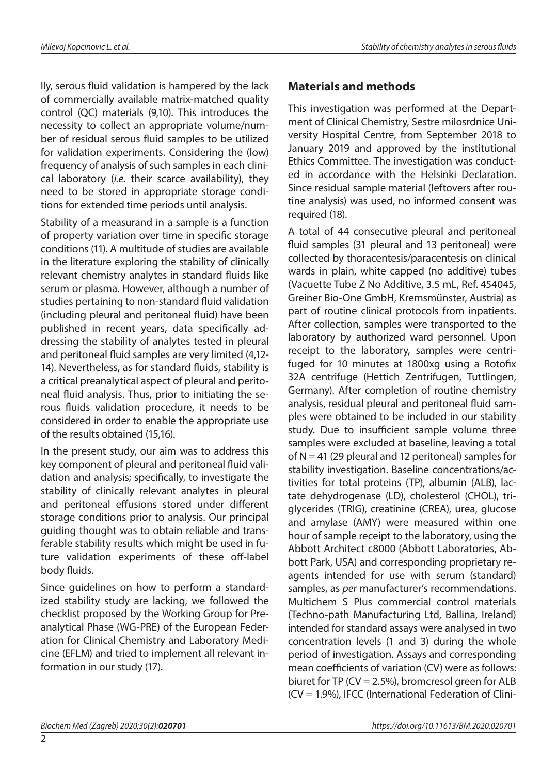lly, serous fluid validation is hampered by the lack of commercially available matrix-matched quality control (QC) materials (9,10). This introduces the necessity to collect an appropriate volume/number of residual serous fluid samples to be utilized for validation experiments. Considering the (low) frequency of analysis of such samples in each clinical laboratory (*i.e.* their scarce availability), they need to be stored in appropriate storage conditions for extended time periods until analysis.

Stability of a measurand in a sample is a function of property variation over time in specific storage conditions (11). A multitude of studies are available in the literature exploring the stability of clinically relevant chemistry analytes in standard fluids like serum or plasma. However, although a number of studies pertaining to non-standard fluid validation (including pleural and peritoneal fluid) have been published in recent years, data specifically addressing the stability of analytes tested in pleural and peritoneal fluid samples are very limited (4,12- 14). Nevertheless, as for standard fluids, stability is a critical preanalytical aspect of pleural and peritoneal fluid analysis. Thus, prior to initiating the serous fluids validation procedure, it needs to be considered in order to enable the appropriate use of the results obtained (15,16).

In the present study, our aim was to address this key component of pleural and peritoneal fluid validation and analysis; specifically, to investigate the stability of clinically relevant analytes in pleural and peritoneal effusions stored under different storage conditions prior to analysis. Our principal guiding thought was to obtain reliable and transferable stability results which might be used in future validation experiments of these off-label body fluids.

Since guidelines on how to perform a standardized stability study are lacking, we followed the checklist proposed by the Working Group for Preanalytical Phase (WG-PRE) of the European Federation for Clinical Chemistry and Laboratory Medicine (EFLM) and tried to implement all relevant information in our study (17).

### **Materials and methods**

This investigation was performed at the Department of Clinical Chemistry, Sestre milosrdnice University Hospital Centre, from September 2018 to January 2019 and approved by the institutional Ethics Committee. The investigation was conducted in accordance with the Helsinki Declaration. Since residual sample material (leftovers after routine analysis) was used, no informed consent was required (18).

A total of 44 consecutive pleural and peritoneal fluid samples (31 pleural and 13 peritoneal) were collected by thoracentesis/paracentesis on clinical wards in plain, white capped (no additive) tubes (Vacuette Tube Z No Additive, 3.5 mL, Ref. 454045, Greiner Bio-One GmbH, Kremsmünster, Austria) as part of routine clinical protocols from inpatients. After collection, samples were transported to the laboratory by authorized ward personnel. Upon receipt to the laboratory, samples were centrifuged for 10 minutes at 1800xg using a Rotofix 32A centrifuge (Hettich Zentrifugen, Tuttlingen, Germany). After completion of routine chemistry analysis, residual pleural and peritoneal fluid samples were obtained to be included in our stability study. Due to insufficient sample volume three samples were excluded at baseline, leaving a total of  $N = 41$  (29 pleural and 12 peritoneal) samples for stability investigation. Baseline concentrations/activities for total proteins (TP), albumin (ALB), lactate dehydrogenase (LD), cholesterol (CHOL), triglycerides (TRIG), creatinine (CREA), urea, glucose and amylase (AMY) were measured within one hour of sample receipt to the laboratory, using the Abbott Architect c8000 (Abbott Laboratories, Abbott Park, USA) and corresponding proprietary reagents intended for use with serum (standard) samples, as *per* manufacturer's recommendations. Multichem S Plus commercial control materials (Techno-path Manufacturing Ltd, Ballina, Ireland) intended for standard assays were analysed in two concentration levels (1 and 3) during the whole period of investigation. Assays and corresponding mean coefficients of variation (CV) were as follows: biuret for TP ( $CV = 2.5\%$ ), bromcresol green for ALB (CV = 1.9%), IFCC (International Federation of Clini-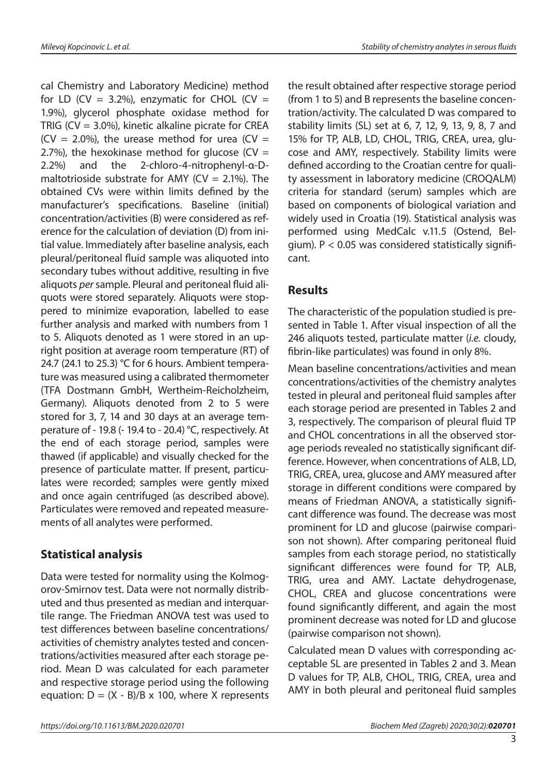cal Chemistry and Laboratory Medicine) method for LD (CV = 3.2%), enzymatic for CHOL (CV = 1.9%), glycerol phosphate oxidase method for TRIG (CV =  $3.0\%$ ), kinetic alkaline picrate for CREA  $(CV = 2.0\%)$ , the urease method for urea  $(CV =$ 2.7%), the hexokinase method for glucose (CV = 2.2%) and the 2-chloro-4-nitrophenyl-α-Dmaltotrioside substrate for AMY ( $CV = 2.1\%$ ). The obtained CVs were within limits defined by the manufacturer's specifications. Baseline (initial) concentration/activities (B) were considered as reference for the calculation of deviation (D) from initial value. Immediately after baseline analysis, each pleural/peritoneal fluid sample was aliquoted into secondary tubes without additive, resulting in five aliquots *per* sample. Pleural and peritoneal fluid aliquots were stored separately. Aliquots were stoppered to minimize evaporation, labelled to ease further analysis and marked with numbers from 1 to 5. Aliquots denoted as 1 were stored in an upright position at average room temperature (RT) of 24.7 (24.1 to 25.3) °C for 6 hours. Ambient temperature was measured using a calibrated thermometer (TFA Dostmann GmbH, Wertheim-Reicholzheim, Germany). Aliquots denoted from 2 to 5 were stored for 3, 7, 14 and 30 days at an average temperature of - 19.8 (- 19.4 to - 20.4) °C, respectively. At the end of each storage period, samples were thawed (if applicable) and visually checked for the presence of particulate matter. If present, particulates were recorded; samples were gently mixed and once again centrifuged (as described above). Particulates were removed and repeated measurements of all analytes were performed.

### **Statistical analysis**

Data were tested for normality using the Kolmogorov-Smirnov test. Data were not normally distributed and thus presented as median and interquartile range. The Friedman ANOVA test was used to test differences between baseline concentrations/ activities of chemistry analytes tested and concentrations/activities measured after each storage period. Mean D was calculated for each parameter and respective storage period using the following equation:  $D = (X - B)/B \times 100$ , where X represents

the result obtained after respective storage period (from 1 to 5) and B represents the baseline concentration/activity. The calculated D was compared to stability limits (SL) set at 6, 7, 12, 9, 13, 9, 8, 7 and 15% for TP, ALB, LD, CHOL, TRIG, CREA, urea, glucose and AMY, respectively. Stability limits were defined according to the Croatian centre for quality assessment in laboratory medicine (CROQALM) criteria for standard (serum) samples which are based on components of biological variation and widely used in Croatia (19). Statistical analysis was performed using MedCalc v.11.5 (Ostend, Belgium).  $P < 0.05$  was considered statistically significant.

### **Results**

The characteristic of the population studied is presented in Table 1. After visual inspection of all the 246 aliquots tested, particulate matter (*i.e.* cloudy, fibrin-like particulates) was found in only 8%.

Mean baseline concentrations/activities and mean concentrations/activities of the chemistry analytes tested in pleural and peritoneal fluid samples after each storage period are presented in Tables 2 and 3, respectively. The comparison of pleural fluid TP and CHOL concentrations in all the observed storage periods revealed no statistically significant difference. However, when concentrations of ALB, LD, TRIG, CREA, urea, glucose and AMY measured after storage in different conditions were compared by means of Friedman ANOVA, a statistically significant difference was found. The decrease was most prominent for LD and glucose (pairwise comparison not shown). After comparing peritoneal fluid samples from each storage period, no statistically significant differences were found for TP, ALB, TRIG, urea and AMY. Lactate dehydrogenase, CHOL, CREA and glucose concentrations were found significantly different, and again the most prominent decrease was noted for LD and glucose (pairwise comparison not shown).

Calculated mean D values with corresponding acceptable SL are presented in Tables 2 and 3. Mean D values for TP, ALB, CHOL, TRIG, CREA, urea and AMY in both pleural and peritoneal fluid samples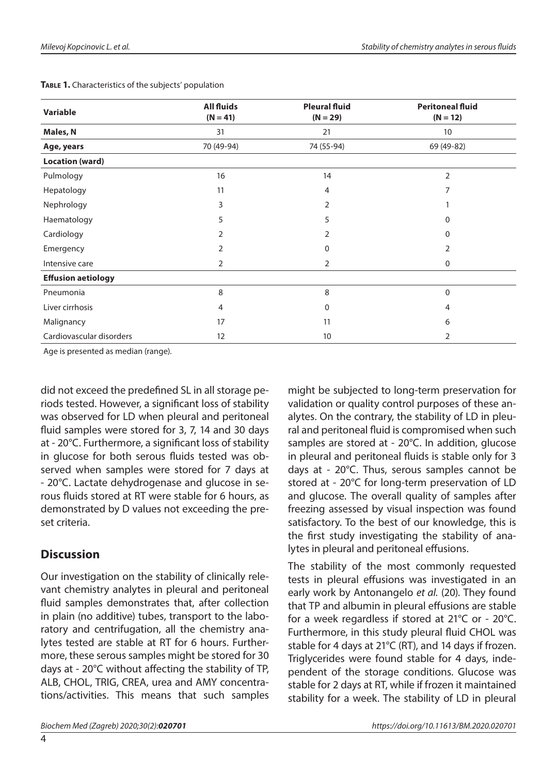| Variable                  | <b>All fluids</b><br>$(N = 41)$ | <b>Pleural fluid</b><br>$(N = 29)$ | <b>Peritoneal fluid</b><br>$(N = 12)$ |  |  |
|---------------------------|---------------------------------|------------------------------------|---------------------------------------|--|--|
| Males, N                  | 31                              | 21                                 | 10                                    |  |  |
| Age, years                | 70 (49-94)                      | 74 (55-94)                         | 69 (49-82)                            |  |  |
| <b>Location (ward)</b>    |                                 |                                    |                                       |  |  |
| Pulmology                 | 16                              | 14                                 | 2                                     |  |  |
| Hepatology                | 11                              | 4                                  | 7                                     |  |  |
| Nephrology                | 3                               | 2                                  |                                       |  |  |
| Haematology               | 5                               | 5                                  | 0                                     |  |  |
| Cardiology                | 2                               | 2                                  | 0                                     |  |  |
| Emergency                 | 2                               | $\Omega$                           | 2                                     |  |  |
| Intensive care            | 2                               | $\overline{2}$                     | 0                                     |  |  |
| <b>Effusion aetiology</b> |                                 |                                    |                                       |  |  |
| Pneumonia                 | 8                               | 8                                  | $\mathbf 0$                           |  |  |
| Liver cirrhosis           | 4                               | 0                                  | 4                                     |  |  |
| Malignancy                | 17                              | 11                                 | 6                                     |  |  |
| Cardiovascular disorders  | 12                              | 10                                 | 2                                     |  |  |

**TABLE 1.** Characteristics of the subjects' population

Age is presented as median (range).

did not exceed the predefined SL in all storage periods tested. However, a significant loss of stability was observed for LD when pleural and peritoneal fluid samples were stored for 3, 7, 14 and 30 days at - 20°C. Furthermore, a significant loss of stability in glucose for both serous fluids tested was observed when samples were stored for 7 days at - 20°C. Lactate dehydrogenase and glucose in serous fluids stored at RT were stable for 6 hours, as demonstrated by D values not exceeding the preset criteria.

#### **Discussion**

Our investigation on the stability of clinically relevant chemistry analytes in pleural and peritoneal fluid samples demonstrates that, after collection in plain (no additive) tubes, transport to the laboratory and centrifugation, all the chemistry analytes tested are stable at RT for 6 hours. Furthermore, these serous samples might be stored for 30 days at - 20°C without affecting the stability of TP, ALB, CHOL, TRIG, CREA, urea and AMY concentrations/activities. This means that such samples might be subjected to long-term preservation for validation or quality control purposes of these analytes. On the contrary, the stability of LD in pleural and peritoneal fluid is compromised when such samples are stored at - 20°C. In addition, glucose in pleural and peritoneal fluids is stable only for 3 days at - 20°C. Thus, serous samples cannot be stored at - 20°C for long-term preservation of LD and glucose. The overall quality of samples after freezing assessed by visual inspection was found satisfactory. To the best of our knowledge, this is the first study investigating the stability of analytes in pleural and peritoneal effusions.

The stability of the most commonly requested tests in pleural effusions was investigated in an early work by Antonangelo *et al.* (20). They found that TP and albumin in pleural effusions are stable for a week regardless if stored at 21°C or - 20°C. Furthermore, in this study pleural fluid CHOL was stable for 4 days at 21°C (RT), and 14 days if frozen. Triglycerides were found stable for 4 days, independent of the storage conditions. Glucose was stable for 2 days at RT, while if frozen it maintained stability for a week. The stability of LD in pleural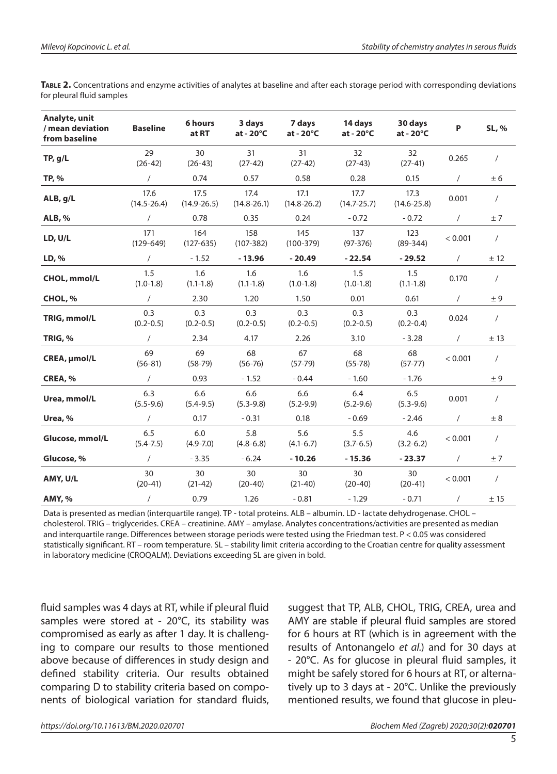| Analyte, unit<br>/ mean deviation<br>from baseline | <b>Baseline</b>         | 6 hours<br>at RT        | 3 days<br>$at - 20^{\circ}C$ | 7 days<br>$at - 20^{\circ}C$ | 14 days<br>at - 20°C    | 30 days<br>at - 20°C         | P          | SL, %      |
|----------------------------------------------------|-------------------------|-------------------------|------------------------------|------------------------------|-------------------------|------------------------------|------------|------------|
| TP, g/L                                            | 29<br>$(26-42)$         | 30<br>$(26-43)$         | 31<br>$(27-42)$              | 31<br>$(27-42)$              | 32<br>$(27-43)$         | 32 <sup>2</sup><br>$(27-41)$ | 0.265      | $\prime$   |
| TP, %                                              | $\sqrt{2}$              | 0.74                    | 0.57                         | 0.58                         | 0.28                    | 0.15                         | $\sqrt{2}$ | ± 6        |
| ALB, g/L                                           | 17.6<br>$(14.5 - 26.4)$ | 17.5<br>$(14.9 - 26.5)$ | 17.4<br>$(14.8 - 26.1)$      | 17.1<br>$(14.8 - 26.2)$      | 17.7<br>$(14.7 - 25.7)$ | 17.3<br>$(14.6 - 25.8)$      | 0.001      | $\sqrt{2}$ |
| <b>ALB, %</b>                                      | $\prime$                | 0.78                    | 0.35                         | 0.24                         | $-0.72$                 | $-0.72$                      | $\sqrt{2}$ | ±7         |
| LD, U/L                                            | 171<br>$(129 - 649)$    | 164<br>$(127-635)$      | 158<br>$(107 - 382)$         | 145<br>$(100-379)$           | 137<br>$(97-376)$       | 123<br>$(89-344)$            | < 0.001    | $\sqrt{2}$ |
| LD, %                                              | $\prime$                | $-1.52$                 | $-13.96$                     | $-20.49$                     | $-22.54$                | $-29.52$                     | $\sqrt{2}$ | ± 12       |
| CHOL, mmol/L                                       | 1.5<br>$(1.0-1.8)$      | 1.6<br>$(1.1 - 1.8)$    | 1.6<br>$(1.1 - 1.8)$         | 1.6<br>$(1.0-1.8)$           | 1.5<br>$(1.0-1.8)$      | 1.5<br>$(1.1-1.8)$           | 0.170      | $\sqrt{2}$ |
| CHOL, %                                            | $\sqrt{2}$              | 2.30                    | 1.20                         | 1.50                         | 0.01                    | 0.61                         | $\prime$   | ± 9        |
| TRIG, mmol/L                                       | 0.3<br>$(0.2 - 0.5)$    | 0.3<br>$(0.2 - 0.5)$    | 0.3<br>$(0.2 - 0.5)$         | 0.3<br>$(0.2 - 0.5)$         | 0.3<br>$(0.2 - 0.5)$    | 0.3<br>$(0.2 - 0.4)$         | 0.024      | $\sqrt{2}$ |
| TRIG, %                                            | $\prime$                | 2.34                    | 4.17                         | 2.26                         | 3.10                    | $-3.28$                      | $\sqrt{2}$ | ±13        |
| CREA, µmol/L                                       | 69<br>$(56-81)$         | 69<br>$(58-79)$         | 68<br>$(56 - 76)$            | 67<br>$(57-79)$              | 68<br>$(55 - 78)$       | 68<br>$(57-77)$              | < 0.001    | $\prime$   |
| CREA, %                                            | $\sqrt{2}$              | 0.93                    | $-1.52$                      | $-0.44$                      | $-1.60$                 | $-1.76$                      |            | ± 9        |
| Urea, mmol/L                                       | 6.3<br>$(5.5 - 9.6)$    | 6.6<br>$(5.4 - 9.5)$    | 6.6<br>$(5.3 - 9.8)$         | 6.6<br>$(5.2 - 9.9)$         | 6.4<br>$(5.2 - 9.6)$    | 6.5<br>$(5.3 - 9.6)$         | 0.001      | $\prime$   |
| Urea, %                                            | $\sqrt{2}$              | 0.17                    | $-0.31$                      | 0.18                         | $-0.69$                 | $-2.46$                      | $\prime$   | ± 8        |
| Glucose, mmol/L                                    | 6.5<br>$(5.4 - 7.5)$    | 6.0<br>$(4.9 - 7.0)$    | 5.8<br>$(4.8 - 6.8)$         | 5.6<br>$(4.1 - 6.7)$         | 5.5<br>$(3.7 - 6.5)$    | 4.6<br>$(3.2 - 6.2)$         | < 0.001    | $\sqrt{2}$ |
| Glucose, %                                         | $\sqrt{2}$              | $-3.35$                 | $-6.24$                      | $-10.26$                     | $-15.36$                | $-23.37$                     | $\sqrt{2}$ | ±7         |
| AMY, U/L                                           | 30<br>$(20-41)$         | 30<br>$(21-42)$         | 30<br>$(20-40)$              | 30<br>$(21-40)$              | 30<br>$(20-40)$         | 30<br>$(20-41)$              | < 0.001    | $\sqrt{2}$ |
| <b>AMY, %</b>                                      | $\prime$                | 0.79                    | 1.26                         | $-0.81$                      | $-1.29$                 | $-0.71$                      | $\sqrt{2}$ | $\pm$ 15   |

**Table 2.** Concentrations and enzyme activities of analytes at baseline and after each storage period with corresponding deviations for pleural fluid samples

Data is presented as median (interquartile range). TP - total proteins. ALB – albumin. LD - lactate dehydrogenase. CHOL – cholesterol. TRIG – triglycerides. CREA – creatinine. AMY – amylase. Analytes concentrations/activities are presented as median and interquartile range. Differences between storage periods were tested using the Friedman test. P < 0.05 was considered statistically significant. RT – room temperature. SL – stability limit criteria according to the Croatian centre for quality assessment in laboratory medicine (CROQALM). Deviations exceeding SL are given in bold.

fluid samples was 4 days at RT, while if pleural fluid samples were stored at -  $20^{\circ}$ C, its stability was compromised as early as after 1 day. It is challenging to compare our results to those mentioned above because of differences in study design and defined stability criteria. Our results obtained comparing D to stability criteria based on components of biological variation for standard fluids, suggest that TP, ALB, CHOL, TRIG, CREA, urea and AMY are stable if pleural fluid samples are stored for 6 hours at RT (which is in agreement with the results of Antonangelo *et al.*) and for 30 days at - 20°C. As for glucose in pleural fluid samples, it might be safely stored for 6 hours at RT, or alternatively up to 3 days at - 20°C. Unlike the previously mentioned results, we found that glucose in pleu-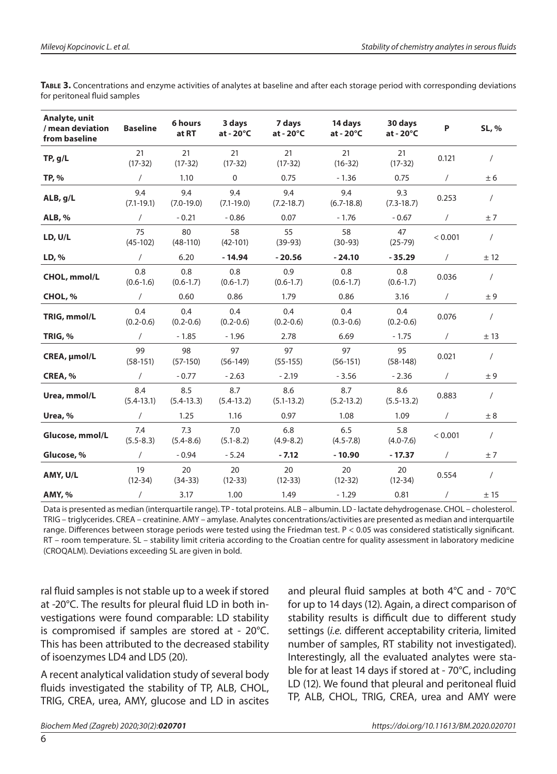| Analyte, unit<br>/ mean deviation<br>from baseline | <b>Baseline</b>       | 6 hours<br>at RT     | 3 days<br>at - $20^{\circ}$ C | 7 days<br>at - $20^{\circ}$ C | 14 days<br>at - $20^{\circ}$ C | 30 days<br>at - $20^{\circ}$ C | P          | SL, %          |
|----------------------------------------------------|-----------------------|----------------------|-------------------------------|-------------------------------|--------------------------------|--------------------------------|------------|----------------|
| TP, g/L                                            | 21<br>$(17-32)$       | 21<br>$(17-32)$      | 21<br>$(17-32)$               | 21<br>$(17-32)$               | 21<br>$(16-32)$                | 21<br>$(17-32)$                | 0.121      | $\sqrt{2}$     |
| TP, %                                              | $\sqrt{2}$            | 1.10                 | 0                             | 0.75                          | $-1.36$                        | 0.75                           | $\prime$   | ± 6            |
| ALB, g/L                                           | 9.4<br>$(7.1 - 19.1)$ | 9.4<br>$(7.0-19.0)$  | 9.4<br>$(7.1 - 19.0)$         | 9.4<br>$(7.2 - 18.7)$         | 9.4<br>$(6.7-18.8)$            | 9.3<br>$(7.3-18.7)$            | 0.253      | $\prime$       |
| <b>ALB, %</b>                                      | $\sqrt{2}$            | $-0.21$              | $-0.86$                       | 0.07                          | $-1.76$                        | $-0.67$                        | $\sqrt{2}$ | ±7             |
| LD, U/L                                            | 75<br>$(45-102)$      | 80<br>$(48-110)$     | 58<br>$(42-101)$              | 55<br>$(39-93)$               | 58<br>$(30-93)$                | 47<br>$(25-79)$                | < 0.001    | $\sqrt{2}$     |
| LD, %                                              | $\sqrt{2}$            | 6.20                 | $-14.94$                      | $-20.56$                      | $-24.10$                       | $-35.29$                       | $\sqrt{2}$ | ± 12           |
| CHOL, mmol/L                                       | 0.8<br>$(0.6 - 1.6)$  | 0.8<br>$(0.6 - 1.7)$ | 0.8<br>$(0.6 - 1.7)$          | 0.9<br>$(0.6 - 1.7)$          | 0.8<br>$(0.6 - 1.7)$           | 0.8<br>$(0.6-1.7)$             | 0.036      | $\overline{1}$ |
| CHOL, %                                            | $\sqrt{2}$            | 0.60                 | 0.86                          | 1.79                          | 0.86                           | 3.16                           | $\sqrt{2}$ | $\pm$ 9        |
| TRIG, mmol/L                                       | 0.4<br>$(0.2 - 0.6)$  | 0.4<br>$(0.2 - 0.6)$ | 0.4<br>$(0.2 - 0.6)$          | 0.4<br>$(0.2 - 0.6)$          | 0.4<br>$(0.3 - 0.6)$           | 0.4<br>$(0.2 - 0.6)$           | 0.076      | $\sqrt{2}$     |
| TRIG, %                                            | $\sqrt{2}$            | $-1.85$              | $-1.96$                       | 2.78                          | 6.69                           | $-1.75$                        | $\sqrt{2}$ | ±13            |
| CREA, µmol/L                                       | 99<br>$(58-151)$      | 98<br>$(57-150)$     | 97<br>$(56-149)$              | 97<br>$(55-155)$              | 97<br>$(56-151)$               | 95<br>$(58-148)$               | 0.021      | $\sqrt{2}$     |
| CREA, %                                            | $\sqrt{2}$            | $-0.77$              | $-2.63$                       | $-2.19$                       | $-3.56$                        | $-2.36$                        | $\prime$   | ± 9            |
| Urea, mmol/L                                       | 8.4<br>$(5.4 - 13.1)$ | 8.5<br>$(5.4-13.3)$  | 8.7<br>$(5.4-13.2)$           | 8.6<br>$(5.1 - 13.2)$         | 8.7<br>$(5.2 - 13.2)$          | 8.6<br>$(5.5-13.2)$            | 0.883      | $\sqrt{2}$     |
| Urea, %                                            | $\sqrt{2}$            | 1.25                 | 1.16                          | 0.97                          | 1.08                           | 1.09                           | $\prime$   | ± 8            |
| Glucose, mmol/L                                    | 7.4<br>$(5.5 - 8.3)$  | 7.3<br>$(5.4 - 8.6)$ | 7.0<br>$(5.1 - 8.2)$          | 6.8<br>$(4.9 - 8.2)$          | 6.5<br>$(4.5 - 7.8)$           | 5.8<br>$(4.0 - 7.6)$           | < 0.001    | $\prime$       |
| Glucose, %                                         | $\sqrt{2}$            | $-0.94$              | $-5.24$                       | $-7.12$                       | $-10.90$                       | $-17.37$                       | $\sqrt{2}$ | ±7             |
| AMY, U/L                                           | 19<br>$(12-34)$       | 20<br>$(34-33)$      | 20<br>$(12-33)$               | 20<br>$(12-33)$               | 20<br>$(12-32)$                | 20<br>$(12-34)$                | 0.554      | $\sqrt{2}$     |
| <b>AMY, %</b>                                      | $\sqrt{2}$            | 3.17                 | 1.00                          | 1.49                          | $-1.29$                        | 0.81                           | $\sqrt{2}$ | ± 15           |

**Table 3.** Concentrations and enzyme activities of analytes at baseline and after each storage period with corresponding deviations for peritoneal fluid samples

Data is presented as median (interquartile range). TP - total proteins. ALB – albumin. LD - lactate dehydrogenase. CHOL – cholesterol. TRIG – triglycerides. CREA – creatinine. AMY – amylase. Analytes concentrations/activities are presented as median and interquartile range. Differences between storage periods were tested using the Friedman test. P < 0.05 was considered statistically significant. RT – room temperature. SL – stability limit criteria according to the Croatian centre for quality assessment in laboratory medicine (CROQALM). Deviations exceeding SL are given in bold.

ral fluid samples is not stable up to a week if stored at -20°C. The results for pleural fluid LD in both investigations were found comparable: LD stability is compromised if samples are stored at - 20°C. This has been attributed to the decreased stability of isoenzymes LD4 and LD5 (20).

A recent analytical validation study of several body fluids investigated the stability of TP, ALB, CHOL, TRIG, CREA, urea, AMY, glucose and LD in ascites

and pleural fluid samples at both 4°C and - 70°C for up to 14 days (12). Again, a direct comparison of stability results is difficult due to different study settings (*i.e.* different acceptability criteria, limited number of samples, RT stability not investigated). Interestingly, all the evaluated analytes were stable for at least 14 days if stored at - 70°C, including LD (12). We found that pleural and peritoneal fluid TP, ALB, CHOL, TRIG, CREA, urea and AMY were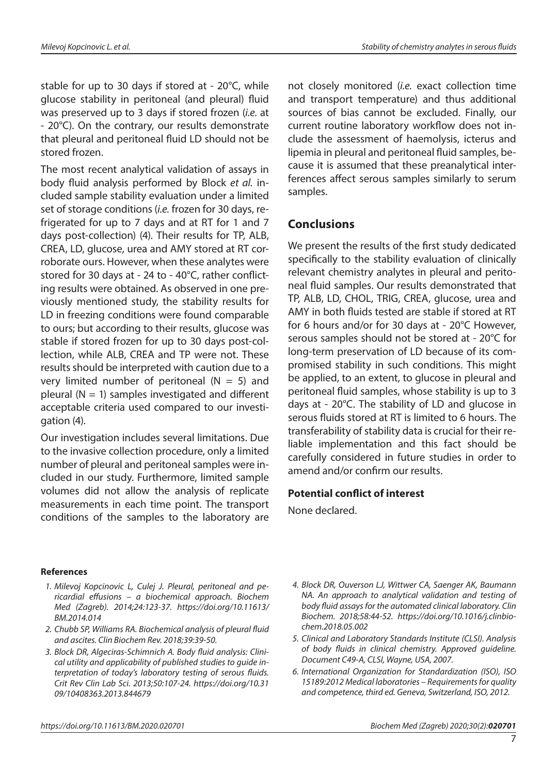stable for up to 30 days if stored at - 20°C, while glucose stability in peritoneal (and pleural) fluid was preserved up to 3 days if stored frozen (*i.e.* at - 20°C). On the contrary, our results demonstrate that pleural and peritoneal fluid LD should not be stored frozen.

The most recent analytical validation of assays in body fluid analysis performed by Block *et al.* included sample stability evaluation under a limited set of storage conditions (*i.e.* frozen for 30 days, refrigerated for up to 7 days and at RT for 1 and 7 days post-collection) (4). Their results for TP, ALB, CREA, LD, glucose, urea and AMY stored at RT corroborate ours. However, when these analytes were stored for 30 days at - 24 to - 40°C, rather conflicting results were obtained. As observed in one previously mentioned study, the stability results for LD in freezing conditions were found comparable to ours; but according to their results, glucose was stable if stored frozen for up to 30 days post-collection, while ALB, CREA and TP were not. These results should be interpreted with caution due to a very limited number of peritoneal  $(N = 5)$  and pleural ( $N = 1$ ) samples investigated and different acceptable criteria used compared to our investigation (4).

Our investigation includes several limitations. Due to the invasive collection procedure, only a limited number of pleural and peritoneal samples were included in our study. Furthermore, limited sample volumes did not allow the analysis of replicate measurements in each time point. The transport conditions of the samples to the laboratory are not closely monitored (*i.e.* exact collection time and transport temperature) and thus additional sources of bias cannot be excluded. Finally, our current routine laboratory workflow does not include the assessment of haemolysis, icterus and lipemia in pleural and peritoneal fluid samples, because it is assumed that these preanalytical interferences affect serous samples similarly to serum samples.

### **Conclusions**

We present the results of the first study dedicated specifically to the stability evaluation of clinically relevant chemistry analytes in pleural and peritoneal fluid samples. Our results demonstrated that TP, ALB, LD, CHOL, TRIG, CREA, glucose, urea and AMY in both fluids tested are stable if stored at RT for 6 hours and/or for 30 days at - 20°C However, serous samples should not be stored at - 20°C for long-term preservation of LD because of its compromised stability in such conditions. This might be applied, to an extent, to glucose in pleural and peritoneal fluid samples, whose stability is up to 3 days at - 20°C. The stability of LD and glucose in serous fluids stored at RT is limited to 6 hours. The transferability of stability data is crucial for their reliable implementation and this fact should be carefully considered in future studies in order to amend and/or confirm our results.

#### **Potential conflict of interest**

None declared.

#### **References**

- *1. Milevoj Kopcinovic L, Culej J. Pleural, peritoneal and pericardial effusions – a biochemical approach. Biochem Med (Zagreb). 2014;24:123-37. [https://doi.org/1](https://doi.org/10.11613/bm.2014.014)0.11613/ BM.2014.014*
- *2. Chubb SP, Williams RA. Biochemical analysis of pleural fluid and ascites. Clin Biochem Rev. 2018;39:39-50.*
- *3. Block DR, Algeciras-Schimnich A. Body fluid analysis: Clinical utility and applicability of published studies to guide interpretation of today's laboratory testing of serous fluids. Crit Rev Clin Lab Sci. 2013;50:107-24. [https://doi.org/10.31](https://doi.org/10.3109/10408363.2013.844679) [09/10408363.2013.844679](https://doi.org/10.3109/10408363.2013.844679)*
- *4. Block DR, Ouverson LJ, Wittwer CA, Saenger AK, Baumann NA. An approach to analytical validation and testing of body fluid assays for the automated clinical laboratory. Clin Biochem. 2018;58:44-52. [https://doi.org/10.1016/j.clinbio](https://doi.org/10.1016/j.clinbiochem.2018.05.002)[chem.2018.05.002](https://doi.org/10.1016/j.clinbiochem.2018.05.002)*
- *5. Clinical and Laboratory Standards Institute (CLSI). Analysis of body fluids in clinical chemistry. Approved guideline. Document C49-A, CLSI, Wayne, USA, 2007.*
- *6. International Organization for Standardization (ISO), ISO 15189:2012 Medical laboratories – Requirements for quality and competence, third ed. Geneva, Switzerland, ISO, 2012.*